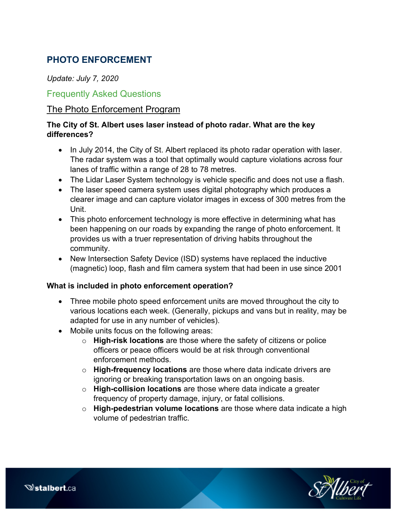# **PHOTO ENFORCEMENT**

## *Update: July 7, 2020*

## Frequently Asked Questions

## The Photo Enforcement Program

## **The City of St. Albert uses laser instead of photo radar. What are the key differences?**

- In July 2014, the City of St. Albert replaced its photo radar operation with laser. The radar system was a tool that optimally would capture violations across four lanes of traffic within a range of 28 to 78 metres.
- The Lidar Laser System technology is vehicle specific and does not use a flash.
- The laser speed camera system uses digital photography which produces a clearer image and can capture violator images in excess of 300 metres from the Unit.
- This photo enforcement technology is more effective in determining what has been happening on our roads by expanding the range of photo enforcement. It provides us with a truer representation of driving habits throughout the community.
- New Intersection Safety Device (ISD) systems have replaced the inductive (magnetic) loop, flash and film camera system that had been in use since 2001

## **What is included in photo enforcement operation?**

- Three mobile photo speed enforcement units are moved throughout the city to various locations each week. (Generally, pickups and vans but in reality, may be adapted for use in any number of vehicles).
- Mobile units focus on the following areas:
	- o **High-risk locations** are those where the safety of citizens or police officers or peace officers would be at risk through conventional enforcement methods.
	- o **High-frequency locations** are those where data indicate drivers are ignoring or breaking transportation laws on an ongoing basis.
	- o **High-collision locations** are those where data indicate a greater frequency of property damage, injury, or fatal collisions.
	- o **High-pedestrian volume locations** are those where data indicate a high volume of pedestrian traffic.



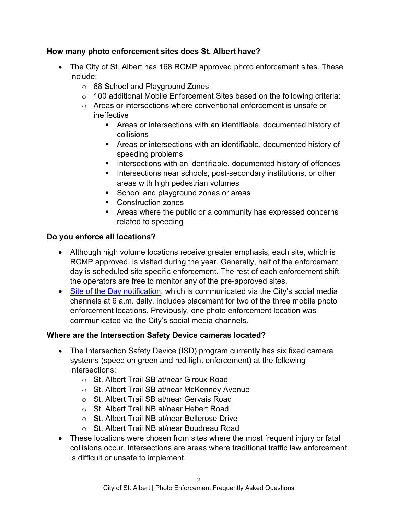## **How many photo enforcement sites does St. Albert have?**

- The City of St. Albert has 168 RCMP approved photo enforcement sites. These include:
	- o 68 School and Playground Zones
	- $\circ$  100 additional Mobile Enforcement Sites based on the following criteria:
	- $\circ$  Areas or intersections where conventional enforcement is unsafe or ineffective
		- Areas or intersections with an identifiable, documented history of collisions
		- Areas or intersections with an identifiable, documented history of speeding problems
		- **Intersections with an identifiable, documented history of offences**
		- **Intersections near schools, post-secondary institutions, or other** areas with high pedestrian volumes
		- School and playground zones or areas
		- Construction zones
		- Areas where the public or a community has expressed concerns related to speeding

#### **Do you enforce all locations?**

- Although high volume locations receive greater emphasis, each site, which is RCMP approved, is visited during the year. Generally, half of the enforcement day is scheduled site specific enforcement. The rest of each enforcement shift, the operators are free to monitor any of the pre-approved sites.
- [Site of the Day notification,](https://stalbert.ca/city/eps/mes/photo-enforcement/locations/) which is communicated via the City's social media channels at 6 a.m. daily, includes placement for two of the three mobile photo enforcement locations. Previously, one photo enforcement location was communicated via the City's social media channels.

## **Where are the Intersection Safety Device cameras located?**

- The Intersection Safety Device (ISD) program currently has six fixed camera systems (speed on green and red-light enforcement) at the following intersections:
	- o St. Albert Trail SB at/near Giroux Road
	- o St. Albert Trail SB at/near McKenney Avenue
	- o St. Albert Trail SB at/near Gervais Road
	- o St. Albert Trail NB at/near Hebert Road
	- o St. Albert Trail NB at/near Bellerose Drive
	- o St. Albert Trail NB at/near Boudreau Road
- These locations were chosen from sites where the most frequent injury or fatal collisions occur. Intersections are areas where traditional traffic law enforcement is difficult or unsafe to implement.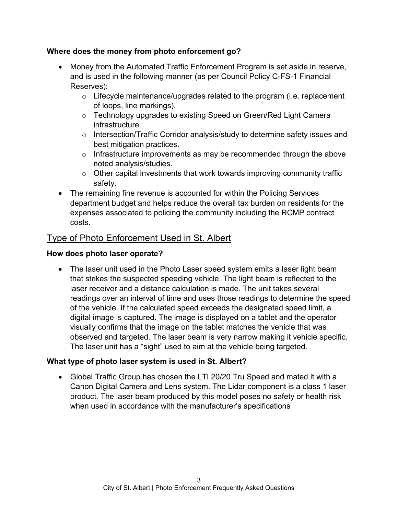#### **Where does the money from photo enforcement go?**

- Money from the Automated Traffic Enforcement Program is set aside in reserve, and is used in the following manner (as per Council Policy C-FS-1 Financial Reserves):
	- $\circ$  Lifecycle maintenance/upgrades related to the program (i.e. replacement of loops, line markings).
	- o Technology upgrades to existing Speed on Green/Red Light Camera infrastructure.
	- $\circ$  Intersection/Traffic Corridor analysis/study to determine safety issues and best mitigation practices.
	- $\circ$  Infrastructure improvements as may be recommended through the above noted analysis/studies.
	- $\circ$  Other capital investments that work towards improving community traffic safety.
- The remaining fine revenue is accounted for within the Policing Services department budget and helps reduce the overall tax burden on residents for the expenses associated to policing the community including the RCMP contract costs.

## Type of Photo Enforcement Used in St. Albert

#### **How does photo laser operate?**

• The laser unit used in the Photo Laser speed system emits a laser light beam that strikes the suspected speeding vehicle. The light beam is reflected to the laser receiver and a distance calculation is made. The unit takes several readings over an interval of time and uses those readings to determine the speed of the vehicle. If the calculated speed exceeds the designated speed limit, a digital image is captured. The image is displayed on a tablet and the operator visually confirms that the image on the tablet matches the vehicle that was observed and targeted. The laser beam is very narrow making it vehicle specific. The laser unit has a "sight" used to aim at the vehicle being targeted.

## **What type of photo laser system is used in St. Albert?**

• Global Traffic Group has chosen the LTI 20/20 Tru Speed and mated it with a Canon Digital Camera and Lens system. The Lidar component is a class 1 laser product. The laser beam produced by this model poses no safety or health risk when used in accordance with the manufacturer's specifications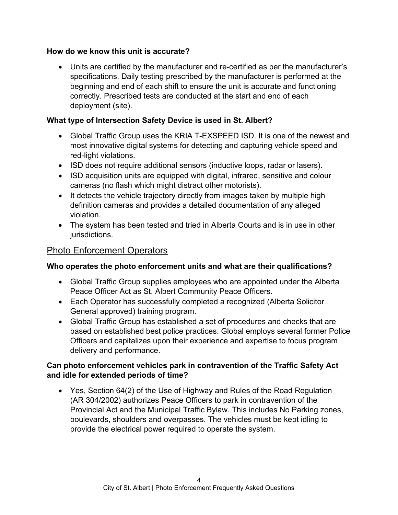#### **How do we know this unit is accurate?**

• Units are certified by the manufacturer and re-certified as per the manufacturer's specifications. Daily testing prescribed by the manufacturer is performed at the beginning and end of each shift to ensure the unit is accurate and functioning correctly. Prescribed tests are conducted at the start and end of each deployment (site).

## **What type of Intersection Safety Device is used in St. Albert?**

- Global Traffic Group uses the KRIA T-EXSPEED ISD. It is one of the newest and most innovative digital systems for detecting and capturing vehicle speed and red-light violations.
- ISD does not require additional sensors (inductive loops, radar or lasers).
- ISD acquisition units are equipped with digital, infrared, sensitive and colour cameras (no flash which might distract other motorists).
- It detects the vehicle trajectory directly from images taken by multiple high definition cameras and provides a detailed documentation of any alleged violation.
- The system has been tested and tried in Alberta Courts and is in use in other jurisdictions.

## Photo Enforcement Operators

## **Who operates the photo enforcement units and what are their qualifications?**

- Global Traffic Group supplies employees who are appointed under the Alberta Peace Officer Act as St. Albert Community Peace Officers.
- Each Operator has successfully completed a recognized (Alberta Solicitor General approved) training program.
- Global Traffic Group has established a set of procedures and checks that are based on established best police practices. Global employs several former Police Officers and capitalizes upon their experience and expertise to focus program delivery and performance.

## **Can photo enforcement vehicles park in contravention of the Traffic Safety Act and idle for extended periods of time?**

• Yes, Section 64(2) of the Use of Highway and Rules of the Road Regulation (AR 304/2002) authorizes Peace Officers to park in contravention of the Provincial Act and the Municipal Traffic Bylaw. This includes No Parking zones, boulevards, shoulders and overpasses. The vehicles must be kept idling to provide the electrical power required to operate the system.